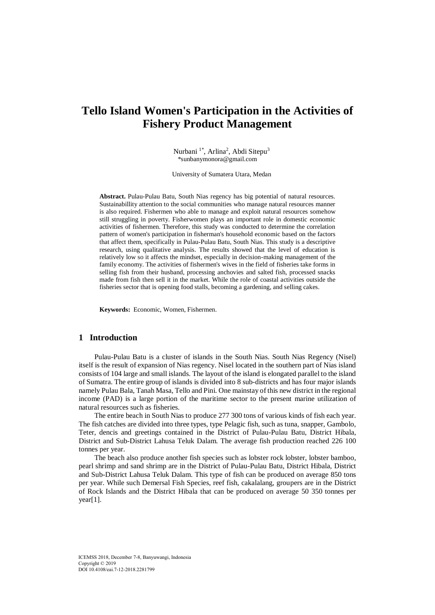# **Tello Island Women's Participation in the Activities of Fishery Product Management**

Nurbani<sup>1\*</sup>, Arlina<sup>2</sup>, Abdi Sitepu<sup>3</sup> \*sunbanymonora@gmail.com

University of Sumatera Utara, Medan

**Abstract.** Pulau-Pulau Batu, South Nias regency has big potential of natural resources. Sustainabillity attention to the social communities who manage natural resources manner is also required. Fishermen who able to manage and exploit natural resources somehow still struggling in poverty. Fisherwomen plays an important role in domestic economic activities of fishermen. Therefore, this study was conducted to determine the correlation pattern of women's participation in fisherman's household economic based on the factors that affect them, specifically in Pulau-Pulau Batu, South Nias. This study is a descriptive research, using qualitative analysis. The results showed that the level of education is relatively low so it affects the mindset, especially in decision-making management of the family economy. The activities of fishermen's wives in the field of fisheries take forms in selling fish from their husband, processing anchovies and salted fish, processed snacks made from fish then sell it in the market. While the role of coastal activities outside the fisheries sector that is opening food stalls, becoming a gardening, and selling cakes.

**Keywords:** Economic, Women, Fishermen.

# **1 Introduction**

Pulau-Pulau Batu is a cluster of islands in the South Nias. South Nias Regency (Nisel) itself is the result of expansion of Nias regency. Nisel located in the southern part of Nias island consists of 104 large and small islands. The layout of the island is elongated parallel to the island of Sumatra. The entire group of islands is divided into 8 sub-districts and has four major islands namely Pulau Bala, Tanah Masa, Tello and Pini. One mainstay of this new district in the regional income (PAD) is a large portion of the maritime sector to the present marine utilization of natural resources such as fisheries.

The entire beach in South Nias to produce 277 300 tons of various kinds of fish each year. The fish catches are divided into three types, type Pelagic fish, such as tuna, snapper, Gambolo, Teter, dencis and greetings contained in the District of Pulau-Pulau Batu, District Hibala, District and Sub-District Lahusa Teluk Dalam. The average fish production reached 226 100 tonnes per year.

The beach also produce another fish species such as lobster rock lobster, lobster bamboo, pearl shrimp and sand shrimp are in the District of Pulau-Pulau Batu, District Hibala, District and Sub-District Lahusa Teluk Dalam. This type of fish can be produced on average 850 tons per year. While such Demersal Fish Species, reef fish, cakalalang, groupers are in the District of Rock Islands and the District Hibala that can be produced on average 50 350 tonnes per year[1].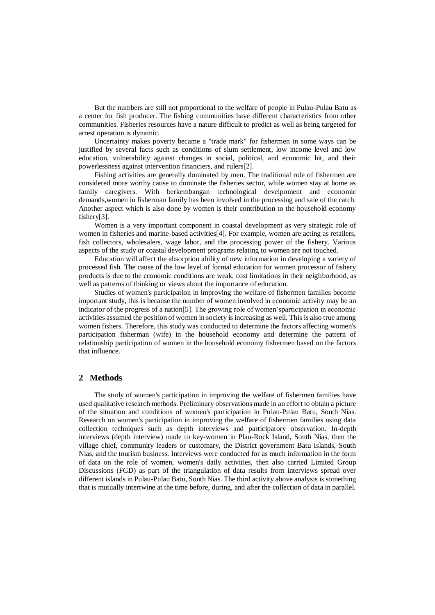But the numbers are still not proportional to the welfare of people in Pulau-Pulau Batu as a center for fish producer. The fishing communities have different characteristics from other communities. Fisheries resources have a nature difficult to predict as well as being targeted for arrest operation is dynamic.

Uncertainty makes poverty became a "trade mark" for fishermen in some ways can be justified by several facts such as conditions of slum settlement, low income level and low education, vulnerability against changes in social, political, and economic hit, and their powerlessness against intervention financiers, and rulers[2].

Fishing activities are generally dominated by men. The traditional role of fishermen are considered more worthy cause to dominate the fisheries sector, while women stay at home as family caregivers. With berkembangan technological develpoment and economic demands,women in fisherman family has been involved in the processing and sale of the catch. Another aspect which is also done by women is their contribution to the household economy fishery[3].

Women is a very important component in coastal development as very strategic role of women in fisheries and marine-based activities[4]. For example, women are acting as retailers, fish collectors, wholesalers, wage labor, and the processing power of the fishery. Various aspects of the study or coastal development programs relating to women are not touched.

Education will affect the absorption ability of new information in developing a variety of processed fish. The cause of the low level of formal education for women processor of fishery products is due to the economic conditions are weak, cost limitations in their neighborhood, as well as patterns of thinking or views about the importance of education.

Studies of women's participation in improving the welfare of fishermen families become important study, this is because the number of women involved in economic activity may be an indicator of the progress of a nation[5]. The growing role of women'sparticipation in economic activities assumed the position of women in society is increasing as well. This is also true among women fishers. Therefore, this study was conducted to determine the factors affecting women's participation fisherman (wife) in the household economy and determine the pattern of relationship participation of women in the household economy fishermen based on the factors that influence.

### **2 Methods**

The study of women's participation in improving the welfare of fishermen families have used qualitative research methods. Preliminary observations made in an effort to obtain a picture of the situation and conditions of women's participation in Pulau-Pulau Batu, South Nias. Research on women's participation in improving the welfare of fishermen families using data collection techniques such as depth interviews and participatory observation. In-depth interviews (depth interview) made to key-women in Plau-Rock Island, South Nias, then the village chief, community leaders or customary, the District government Batu Islands, South Nias, and the tourism business. Interviews were conducted for as much information in the form of data on the role of women, women's daily activities, then also carried Limited Group Discussions (FGD) as part of the triangulation of data results from interviews spread over different islands in Pulau-Pulau Batu, South Nias. The third activity above analysis is something that is mutually intertwine at the time before, during, and after the collection of data in parallel.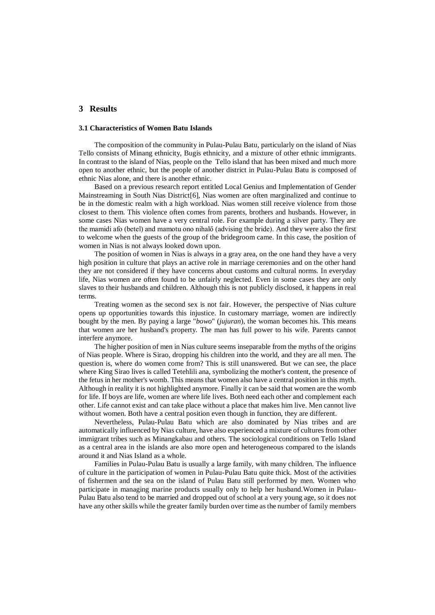# **3 Results**

#### **3.1 Characteristics of Women Batu Islands**

The composition of the community in Pulau-Pulau Batu, particularly on the island of Nias Tello consists of Minang ethnicity, Bugis ethnicity, and a mixture of other ethnic immigrants. In contrast to the island of Nias, people on the Tello island that has been mixed and much more open to another ethnic, but the people of another district in Pulau-Pulau Batu is composed of ethnic Nias alone, and there is another ethnic.

Based on a previous research report entitled Local Genius and Implementation of Gender Mainstreaming in South Nias District[6], Nias women are often marginalized and continue to be in the domestic realm with a high workload. Nias women still receive violence from those closest to them. This violence often comes from parents, brothers and husbands. However, in some cases Nias women have a very central role. For example during a silver party. They are the mamidi afo (betel) and mamotu ono nihalő (advising the bride). And they were also the first to welcome when the guests of the group of the bridegroom came. In this case, the position of women in Nias is not always looked down upon.

The position of women in Nias is always in a gray area, on the one hand they have a very high position in culture that plays an active role in marriage ceremonies and on the other hand they are not considered if they have concerns about customs and cultural norms. In everyday life, Nias women are often found to be unfairly neglected. Even in some cases they are only slaves to their husbands and children. Although this is not publicly disclosed, it happens in real terms.

Treating women as the second sex is not fair. However, the perspective of Nias culture opens up opportunities towards this injustice. In customary marriage, women are indirectly bought by the men. By paying a large "*bowo*" (*jujuran*), the woman becomes his. This means that women are her husband's property. The man has full power to his wife. Parents cannot interfere anymore.

The higher position of men in Nias culture seems inseparable from the myths of the origins of Nias people. Where is Sirao, dropping his children into the world, and they are all men. The question is, where do women come from? This is still unanswered. But we can see, the place where King Sirao lives is called Tetehlili ana, symbolizing the mother's content, the presence of the fetus in her mother's womb. This means that women also have a central position in this myth. Although in reality it is not highlighted anymore. Finally it can be said that women are the womb for life. If boys are life, women are where life lives. Both need each other and complement each other. Life cannot exist and can take place without a place that makes him live. Men cannot live without women. Both have a central position even though in function, they are different.

Nevertheless, Pulau-Pulau Batu which are also dominated by Nias tribes and are automatically influenced by Nias culture, have also experienced a mixture of cultures from other immigrant tribes such as Minangkabau and others. The sociological conditions on Tello Island as a central area in the islands are also more open and heterogeneous compared to the islands around it and Nias Island as a whole.

Families in Pulau-Pulau Batu is usually a large family, with many children. The influence of culture in the participation of women in Pulau-Pulau Batu quite thick. Most of the activities of fishermen and the sea on the island of Pulau Batu still performed by men. Women who participate in managing marine products usually only to help her husband.Women in Pulau-Pulau Batu also tend to be married and dropped out of school at a very young age, so it does not have any other skills while the greater family burden over time as the number of family members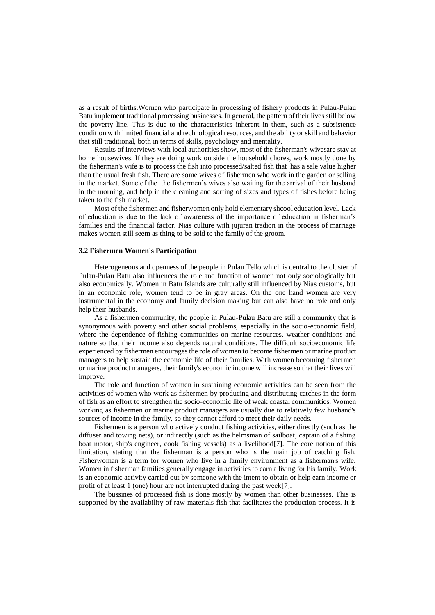as a result of births.Women who participate in processing of fishery products in Pulau-Pulau Batu implement traditional processing businesses. In general, the pattern of their lives still below the poverty line. This is due to the characteristics inherent in them, such as a subsistence condition with limited financial and technological resources, and the ability or skill and behavior that still traditional, both in terms of skills, psychology and mentality.

Results of interviews with local authorities show, most of the fisherman's wivesare stay at home housewives. If they are doing work outside the household chores, work mostly done by the fisherman's wife is to process the fish into processed/salted fish that has a sale value higher than the usual fresh fish. There are some wives of fishermen who work in the garden or selling in the market. Some of the the fishermen's wives also waiting for the arrival of their husband in the morning, and help in the cleaning and sorting of sizes and types of fishes before being taken to the fish market.

Most of the fishermen and fisherwomen only hold elementary shcool education level. Lack of education is due to the lack of awareness of the importance of education in fisherman's families and the financial factor. Nias culture with jujuran tradion in the process of marriage makes women still seem as thing to be sold to the family of the groom.

#### **3.2 Fishermen Women's Participation**

Heterogeneous and openness of the people in Pulau Tello which is central to the cluster of Pulau-Pulau Batu also influences the role and function of women not only sociologically but also economically. Women in Batu Islands are culturally still influenced by Nias customs, but in an economic role, women tend to be in gray areas. On the one hand women are very instrumental in the economy and family decision making but can also have no role and only help their husbands.

As a fishermen community, the people in Pulau-Pulau Batu are still a community that is synonymous with poverty and other social problems, especially in the socio-economic field, where the dependence of fishing communities on marine resources, weather conditions and nature so that their income also depends natural conditions. The difficult socioeconomic life experienced by fishermen encourages the role of women to become fishermen or marine product managers to help sustain the economic life of their families. With women becoming fishermen or marine product managers, their family's economic income will increase so that their lives will improve.

The role and function of women in sustaining economic activities can be seen from the activities of women who work as fishermen by producing and distributing catches in the form of fish as an effort to strengthen the socio-economic life of weak coastal communities. Women working as fishermen or marine product managers are usually due to relatively few husband's sources of income in the family, so they cannot afford to meet their daily needs.

Fishermen is a person who actively conduct fishing activities, either directly (such as the diffuser and towing nets), or indirectly (such as the helmsman of sailboat, captain of a fishing boat motor, ship's engineer, cook fishing vessels) as a livelihood[7]. The core notion of this limitation, stating that the fisherman is a person who is the main job of catching fish. Fisherwoman is a term for women who live in a family environment as a fisherman's wife. Women in fisherman families generally engage in activities to earn a living for his family. Work is an economic activity carried out by someone with the intent to obtain or help earn income or profit of at least 1 (one) hour are not interrupted during the past week[7].

The bussines of processed fish is done mostly by women than other businesses. This is supported by the availability of raw materials fish that facilitates the production process. It is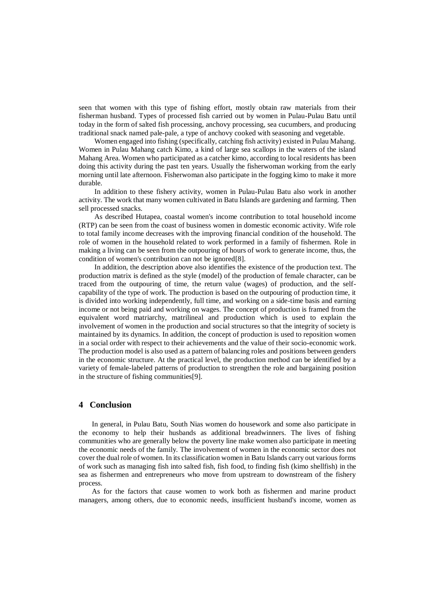seen that women with this type of fishing effort, mostly obtain raw materials from their fisherman husband. Types of processed fish carried out by women in Pulau-Pulau Batu until today in the form of salted fish processing, anchovy processing, sea cucumbers, and producing traditional snack named pale-pale, a type of anchovy cooked with seasoning and vegetable.

Women engaged into fishing (specifically, catching fish activity) existed in Pulau Mahang. Women in Pulau Mahang catch Kimo, a kind of large sea scallops in the waters of the island Mahang Area. Women who participated as a catcher kimo, according to local residents has been doing this activity during the past ten years. Usually the fisherwoman working from the early morning until late afternoon. Fisherwoman also participate in the fogging kimo to make it more durable.

In addition to these fishery activity, women in Pulau-Pulau Batu also work in another activity. The work that many women cultivated in Batu Islands are gardening and farming. Then sell processed snacks.

As described Hutapea, coastal women's income contribution to total household income (RTP) can be seen from the coast of business women in domestic economic activity. Wife role to total family income decreases with the improving financial condition of the household. The role of women in the household related to work performed in a family of fishermen. Role in making a living can be seen from the outpouring of hours of work to generate income, thus, the condition of women's contribution can not be ignored[8].

In addition, the description above also identifies the existence of the production text. The production matrix is defined as the style (model) of the production of female character, can be traced from the outpouring of time, the return value (wages) of production, and the selfcapability of the type of work. The production is based on the outpouring of production time, it is divided into working independently, full time, and working on a side-time basis and earning income or not being paid and working on wages. The concept of production is framed from the equivalent word matriarchy, matrilineal and production which is used to explain the involvement of women in the production and social structures so that the integrity of society is maintained by its dynamics. In addition, the concept of production is used to reposition women in a social order with respect to their achievements and the value of their socio-economic work. The production model is also used as a pattern of balancing roles and positions between genders in the economic structure. At the practical level, the production method can be identified by a variety of female-labeled patterns of production to strengthen the role and bargaining position in the structure of fishing communities[9].

## **4 Conclusion**

In general, in Pulau Batu, South Nias women do housework and some also participate in the economy to help their husbands as additional breadwinners. The lives of fishing communities who are generally below the poverty line make women also participate in meeting the economic needs of the family. The involvement of women in the economic sector does not cover the dual role of women. In its classification women in Batu Islands carry out various forms of work such as managing fish into salted fish, fish food, to finding fish (kimo shellfish) in the sea as fishermen and entrepreneurs who move from upstream to downstream of the fishery process.

As for the factors that cause women to work both as fishermen and marine product managers, among others, due to economic needs, insufficient husband's income, women as